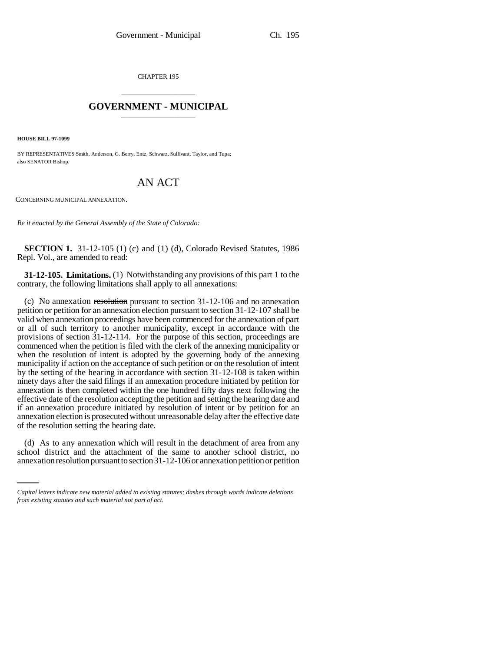CHAPTER 195 \_\_\_\_\_\_\_\_\_\_\_\_\_\_\_

## **GOVERNMENT - MUNICIPAL** \_\_\_\_\_\_\_\_\_\_\_\_\_\_\_

**HOUSE BILL 97-1099**

BY REPRESENTATIVES Smith, Anderson, G. Berry, Entz, Schwarz, Sullivant, Taylor, and Tupa; also SENATOR Bishop.

## AN ACT

CONCERNING MUNICIPAL ANNEXATION.

*Be it enacted by the General Assembly of the State of Colorado:*

**SECTION 1.** 31-12-105 (1) (c) and (1) (d), Colorado Revised Statutes, 1986 Repl. Vol., are amended to read:

**31-12-105. Limitations.** (1) Notwithstanding any provisions of this part 1 to the contrary, the following limitations shall apply to all annexations:

(c) No annexation resolution pursuant to section  $31-12-106$  and no annexation petition or petition for an annexation election pursuant to section 31-12-107 shall be valid when annexation proceedings have been commenced for the annexation of part or all of such territory to another municipality, except in accordance with the provisions of section 31-12-114. For the purpose of this section, proceedings are commenced when the petition is filed with the clerk of the annexing municipality or when the resolution of intent is adopted by the governing body of the annexing municipality if action on the acceptance of such petition or on the resolution of intent by the setting of the hearing in accordance with section 31-12-108 is taken within ninety days after the said filings if an annexation procedure initiated by petition for annexation is then completed within the one hundred fifty days next following the effective date of the resolution accepting the petition and setting the hearing date and if an annexation procedure initiated by resolution of intent or by petition for an annexation election is prosecuted without unreasonable delay after the effective date of the resolution setting the hearing date.

(d) As to any annexation which will result in the detachment of area from any school district and the attachment of the same to another school district, no annexation resolution pursuant to section 31-12-106 or annexation petition or petition

*Capital letters indicate new material added to existing statutes; dashes through words indicate deletions from existing statutes and such material not part of act.*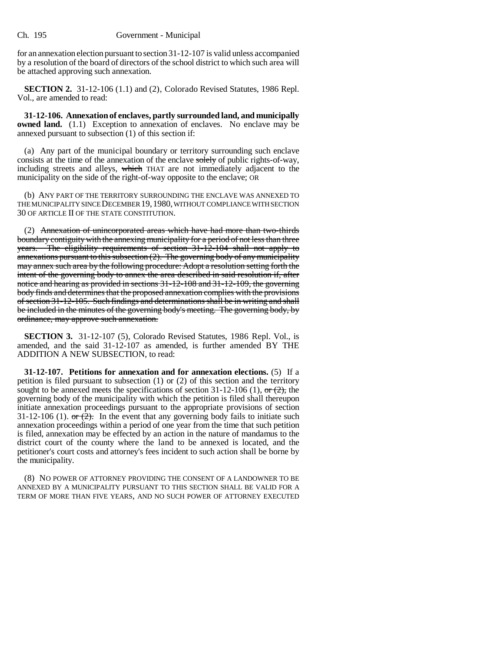for an annexation election pursuant to section 31-12-107 is valid unless accompanied by a resolution of the board of directors of the school district to which such area will be attached approving such annexation.

**SECTION 2.** 31-12-106 (1.1) and (2), Colorado Revised Statutes, 1986 Repl. Vol., are amended to read:

**31-12-106. Annexation of enclaves, partly surrounded land, and municipally owned land.** (1.1) Exception to annexation of enclaves. No enclave may be annexed pursuant to subsection (1) of this section if:

(a) Any part of the municipal boundary or territory surrounding such enclave consists at the time of the annexation of the enclave solely of public rights-of-way, including streets and alleys, which THAT are not immediately adjacent to the municipality on the side of the right-of-way opposite to the enclave; OR

(b) ANY PART OF THE TERRITORY SURROUNDING THE ENCLAVE WAS ANNEXED TO THE MUNICIPALITY SINCE DECEMBER 19,1980, WITHOUT COMPLIANCE WITH SECTION 30 OF ARTICLE II OF THE STATE CONSTITUTION.

(2) Annexation of unincorporated areas which have had more than two-thirds boundary contiguity with the annexing municipality for a period of not less than three years. The eligibility requirements of section 31-12-104 shall not apply to annexations pursuant to this subsection  $(2)$ . The governing body of any municipality may annex such area by the following procedure: Adopt a resolution setting forth the intent of the governing body to annex the area described in said resolution if, after notice and hearing as provided in sections 31-12-108 and 31-12-109, the governing body finds and determines that the proposed annexation complies with the provisions of section 31-12-105. Such findings and determinations shall be in writing and shall be included in the minutes of the governing body's meeting. The governing body, by ordinance, may approve such annexation.

**SECTION 3.** 31-12-107 (5), Colorado Revised Statutes, 1986 Repl. Vol., is amended, and the said 31-12-107 as amended, is further amended BY THE ADDITION A NEW SUBSECTION, to read:

**31-12-107. Petitions for annexation and for annexation elections.** (5) If a petition is filed pursuant to subsection (1) or (2) of this section and the territory sought to be annexed meets the specifications of section  $31-12-106$  (1), or  $(2)$ , the governing body of the municipality with which the petition is filed shall thereupon initiate annexation proceedings pursuant to the appropriate provisions of section 31-12-106 (1).  $\sigma$   $\rightarrow$   $\overline{2}$ . In the event that any governing body fails to initiate such annexation proceedings within a period of one year from the time that such petition is filed, annexation may be effected by an action in the nature of mandamus to the district court of the county where the land to be annexed is located, and the petitioner's court costs and attorney's fees incident to such action shall be borne by the municipality.

(8) NO POWER OF ATTORNEY PROVIDING THE CONSENT OF A LANDOWNER TO BE ANNEXED BY A MUNICIPALITY PURSUANT TO THIS SECTION SHALL BE VALID FOR A TERM OF MORE THAN FIVE YEARS, AND NO SUCH POWER OF ATTORNEY EXECUTED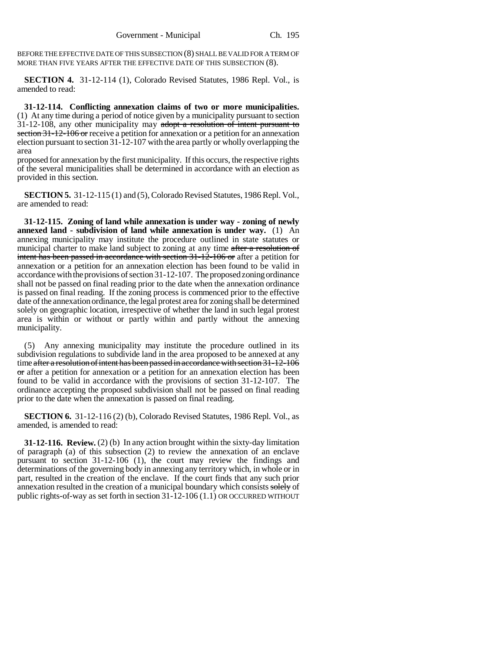BEFORE THE EFFECTIVE DATE OF THIS SUBSECTION (8) SHALL BE VALID FOR A TERM OF MORE THAN FIVE YEARS AFTER THE EFFECTIVE DATE OF THIS SUBSECTION (8).

**SECTION 4.** 31-12-114 (1), Colorado Revised Statutes, 1986 Repl. Vol., is amended to read:

**31-12-114. Conflicting annexation claims of two or more municipalities.** (1) At any time during a period of notice given by a municipality pursuant to section 31-12-108, any other municipality may adopt a resolution of intent pursuant to section 31-12-106 or receive a petition for annexation or a petition for an annexation election pursuant to section 31-12-107 with the area partly or wholly overlapping the area

proposed for annexation by the first municipality. If this occurs, the respective rights of the several municipalities shall be determined in accordance with an election as provided in this section.

**SECTION 5.** 31-12-115 (1) and (5), Colorado Revised Statutes, 1986 Repl. Vol., are amended to read:

**31-12-115. Zoning of land while annexation is under way - zoning of newly annexed land - subdivision of land while annexation is under way.** (1) An annexing municipality may institute the procedure outlined in state statutes or municipal charter to make land subject to zoning at any time after a resolution of intent has been passed in accordance with section 31-12-106 or after a petition for annexation or a petition for an annexation election has been found to be valid in accordance with the provisions of section 31-12-107. The proposed zoning ordinance shall not be passed on final reading prior to the date when the annexation ordinance is passed on final reading. If the zoning process is commenced prior to the effective date of the annexation ordinance, the legal protest area for zoning shall be determined solely on geographic location, irrespective of whether the land in such legal protest area is within or without or partly within and partly without the annexing municipality.

(5) Any annexing municipality may institute the procedure outlined in its subdivision regulations to subdivide land in the area proposed to be annexed at any time after a resolution of intent has been passed in accordance with section 31-12-106 or after a petition for annexation or a petition for an annexation election has been found to be valid in accordance with the provisions of section 31-12-107. The ordinance accepting the proposed subdivision shall not be passed on final reading prior to the date when the annexation is passed on final reading.

**SECTION 6.** 31-12-116 (2) (b), Colorado Revised Statutes, 1986 Repl. Vol., as amended, is amended to read:

**31-12-116. Review.** (2) (b) In any action brought within the sixty-day limitation of paragraph (a) of this subsection (2) to review the annexation of an enclave pursuant to section 31-12-106 (1), the court may review the findings and determinations of the governing body in annexing any territory which, in whole or in part, resulted in the creation of the enclave. If the court finds that any such prior annexation resulted in the creation of a municipal boundary which consists solely of public rights-of-way as set forth in section 31-12-106 (1.1) OR OCCURRED WITHOUT